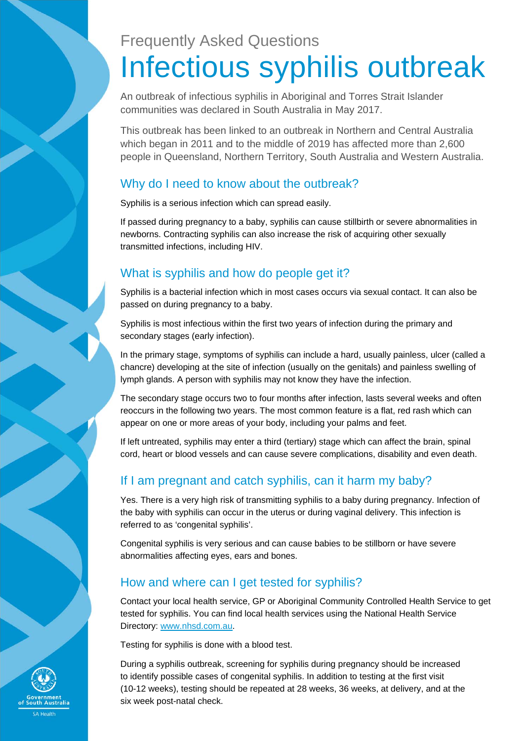# Frequently Asked Questions Infectious syphilis outbreak

An outbreak of infectious syphilis in Aboriginal and Torres Strait Islander communities was declared in South Australia in May 2017.

This outbreak has been linked to an outbreak in Northern and Central Australia which began in 2011 and to the middle of 2019 has affected more than 2,600 people in Queensland, Northern Territory, South Australia and Western Australia.

#### Why do I need to know about the outbreak?

Syphilis is a serious infection which can spread easily.

If passed during pregnancy to a baby, syphilis can cause stillbirth or severe abnormalities in newborns. Contracting syphilis can also increase the risk of acquiring other sexually transmitted infections, including HIV.

## What is syphilis and how do people get it?

Syphilis is a bacterial infection which in most cases occurs via sexual contact. It can also be passed on during pregnancy to a baby.

Syphilis is most infectious within the first two years of infection during the primary and secondary stages (early infection).

In the primary stage, symptoms of syphilis can include a hard, usually painless, ulcer (called a chancre) developing at the site of infection (usually on the genitals) and painless swelling of lymph glands. A person with syphilis may not know they have the infection.

The secondary stage occurs two to four months after infection, lasts several weeks and often reoccurs in the following two years. The most common feature is a flat, red rash which can appear on one or more areas of your body, including your palms and feet.

If left untreated, syphilis may enter a third (tertiary) stage which can affect the brain, spinal cord, heart or blood vessels and can cause severe complications, disability and even death.

## If I am pregnant and catch syphilis, can it harm my baby?

Yes. There is a very high risk of transmitting syphilis to a baby during pregnancy. Infection of the baby with syphilis can occur in the uterus or during vaginal delivery. This infection is referred to as 'congenital syphilis'.

Congenital syphilis is very serious and can cause babies to be stillborn or have severe abnormalities affecting eyes, ears and bones.

## How and where can I get tested for syphilis?

Contact your local health service, GP or Aboriginal Community Controlled Health Service to get tested for syphilis. You can find local health services using the National Health Service Directory: www.nhsd.com.au.

Testing for syphilis is done with a blood test.

During a syphilis outbreak, screening for syphilis during pregnancy should be increased to identify possible cases of congenital syphilis. In addition to testing at the first visit (10-12 weeks), testing should be repeated at 28 weeks, 36 weeks, at delivery, and at the six week post-natal check.